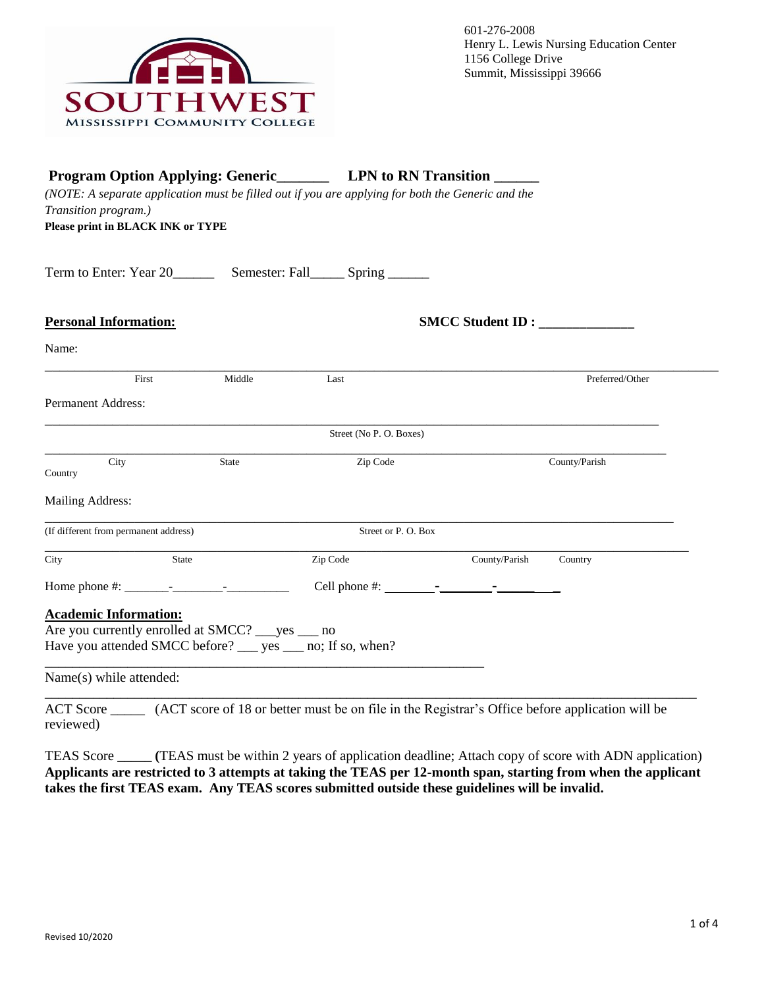

| <b>Program Option Applying: Generic LPN to RN Transition LEGEON</b><br>(NOTE: A separate application must be filled out if you are applying for both the Generic and the<br>Transition program.)<br>Please print in BLACK INK or TYPE |              |                                                                                                 |                  |                 |
|---------------------------------------------------------------------------------------------------------------------------------------------------------------------------------------------------------------------------------------|--------------|-------------------------------------------------------------------------------------------------|------------------|-----------------|
|                                                                                                                                                                                                                                       |              |                                                                                                 |                  |                 |
| <b>Personal Information:</b>                                                                                                                                                                                                          |              |                                                                                                 | SMCC Student ID: |                 |
| Name:                                                                                                                                                                                                                                 |              |                                                                                                 |                  |                 |
| First                                                                                                                                                                                                                                 | Middle       | Last                                                                                            |                  | Preferred/Other |
| <b>Permanent Address:</b>                                                                                                                                                                                                             |              |                                                                                                 |                  |                 |
|                                                                                                                                                                                                                                       |              | Street (No P. O. Boxes)                                                                         |                  |                 |
| City<br>Country                                                                                                                                                                                                                       | <b>State</b> | Zip Code                                                                                        |                  | County/Parish   |
| Mailing Address:                                                                                                                                                                                                                      |              |                                                                                                 |                  |                 |
| (If different from permanent address)                                                                                                                                                                                                 |              | Street or P.O. Box                                                                              |                  |                 |
| City                                                                                                                                                                                                                                  | State        | Zip Code                                                                                        | County/Parish    | Country         |
|                                                                                                                                                                                                                                       |              |                                                                                                 |                  |                 |
| <b>Academic Information:</b>                                                                                                                                                                                                          |              |                                                                                                 |                  |                 |
| Are you currently enrolled at SMCC? ___ yes ___ no                                                                                                                                                                                    |              |                                                                                                 |                  |                 |
|                                                                                                                                                                                                                                       |              | Have you attended SMCC before? ___ yes ___ no; If so, when?                                     |                  |                 |
| Name(s) while attended:                                                                                                                                                                                                               |              |                                                                                                 |                  |                 |
| <b>ACT</b> Score                                                                                                                                                                                                                      |              | (ACT score of 18 or better must be on file in the Registrar's Office before application will be |                  |                 |

reviewed)

TEAS Score **\_\_\_\_\_ (**TEAS must be within 2 years of application deadline; Attach copy of score with ADN application) **Applicants are restricted to 3 attempts at taking the TEAS per 12-month span, starting from when the applicant takes the first TEAS exam. Any TEAS scores submitted outside these guidelines will be invalid.**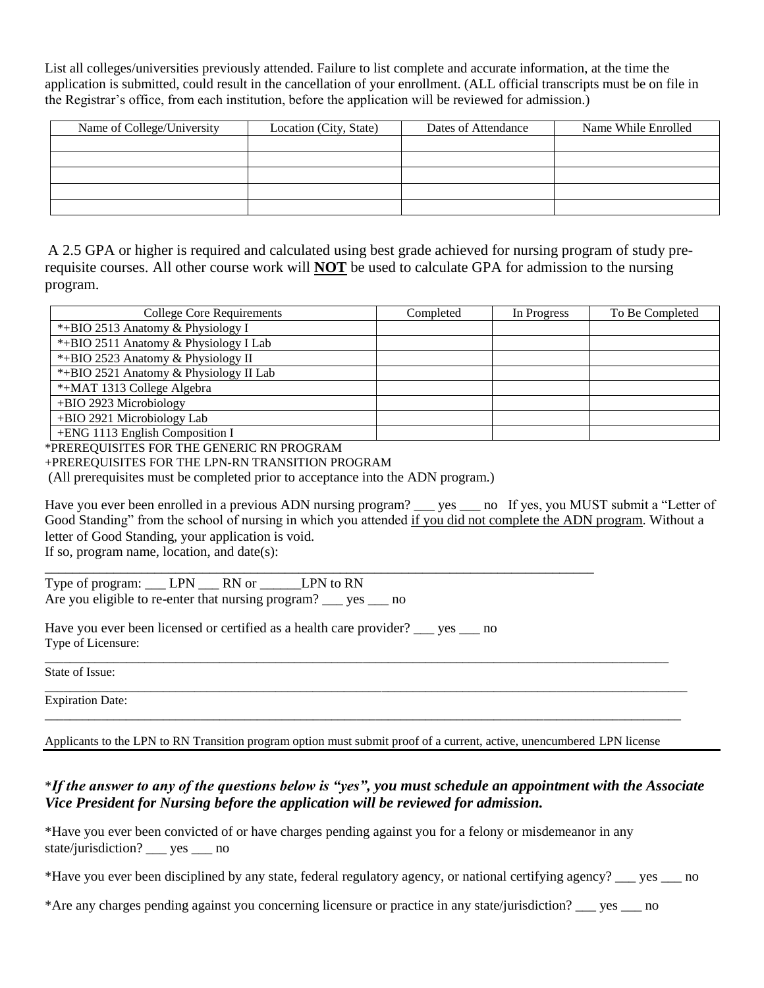List all colleges/universities previously attended. Failure to list complete and accurate information, at the time the application is submitted, could result in the cancellation of your enrollment. (ALL official transcripts must be on file in the Registrar's office, from each institution, before the application will be reviewed for admission.)

| Name of College/University | Location (City, State) | Dates of Attendance | Name While Enrolled |
|----------------------------|------------------------|---------------------|---------------------|
|                            |                        |                     |                     |
|                            |                        |                     |                     |
|                            |                        |                     |                     |
|                            |                        |                     |                     |
|                            |                        |                     |                     |

A 2.5 GPA or higher is required and calculated using best grade achieved for nursing program of study prerequisite courses. All other course work will **NOT** be used to calculate GPA for admission to the nursing program.

| <b>College Core Requirements</b>       | Completed | In Progress | To Be Completed |
|----------------------------------------|-----------|-------------|-----------------|
| *+BIO 2513 Anatomy & Physiology I      |           |             |                 |
| *+BIO 2511 Anatomy & Physiology I Lab  |           |             |                 |
| *+BIO 2523 Anatomy & Physiology II     |           |             |                 |
| *+BIO 2521 Anatomy & Physiology II Lab |           |             |                 |
| *+MAT 1313 College Algebra             |           |             |                 |
| +BIO 2923 Microbiology                 |           |             |                 |
| +BIO 2921 Microbiology Lab             |           |             |                 |
| +ENG 1113 English Composition I        |           |             |                 |

\*PREREQUISITES FOR THE GENERIC RN PROGRAM

+PREREQUISITES FOR THE LPN-RN TRANSITION PROGRAM

(All prerequisites must be completed prior to acceptance into the ADN program.)

Have you ever been enrolled in a previous ADN nursing program? seed not if yes, you MUST submit a "Letter of Good Standing" from the school of nursing in which you attended if you did not complete the ADN program. Without a letter of Good Standing, your application is void.

If so, program name, location, and date(s): \_\_\_\_\_\_\_\_\_\_\_\_\_\_\_\_\_\_\_\_\_\_\_\_\_\_\_\_\_\_\_\_\_\_\_\_\_\_\_\_\_\_\_\_\_\_\_\_\_\_\_\_\_\_\_\_\_\_\_\_\_\_\_\_\_\_\_\_\_\_\_\_\_\_\_\_\_\_\_\_

Type of program: \_\_\_\_ LPN \_\_\_\_\_ RN or \_\_\_\_\_\_\_\_\_ LPN to RN Are you eligible to re-enter that nursing program? see section

Have you ever been licensed or certified as a health care provider? yes no Type of Licensure:

State of Issue:

Expiration Date: \_\_\_\_\_\_\_\_\_\_\_\_\_\_\_\_\_\_\_\_\_\_\_\_\_\_\_\_\_\_\_\_\_\_\_\_\_\_\_\_\_\_\_\_\_\_\_\_\_\_\_\_\_\_\_\_\_\_\_\_\_\_\_\_\_\_\_\_\_\_\_\_\_\_\_\_\_\_\_\_\_\_\_\_\_\_\_\_\_\_\_\_\_\_\_\_\_\_\_\_\_\_

Applicants to the LPN to RN Transition program option must submit proof of a current, active, unencumbered LPN license

\_\_\_\_\_\_\_\_\_\_\_\_\_\_\_\_\_\_\_\_\_\_\_\_\_\_\_\_\_\_\_\_\_\_\_\_\_\_\_\_\_\_\_\_\_\_\_\_\_\_\_\_\_\_\_\_\_\_\_\_\_\_\_\_\_\_\_\_\_\_\_\_\_\_\_\_\_\_\_\_\_\_\_\_\_\_\_\_\_\_\_\_\_\_\_\_\_\_\_\_

\_\_\_\_\_\_\_\_\_\_\_\_\_\_\_\_\_\_\_\_\_\_\_\_\_\_\_\_\_\_\_\_\_\_\_\_\_\_\_\_\_\_\_\_\_\_\_\_\_\_\_\_\_\_\_\_\_\_\_\_\_\_\_\_\_\_\_\_\_\_\_\_\_\_\_\_\_\_\_\_\_\_\_\_\_\_\_\_\_\_\_\_\_\_\_\_\_\_\_\_\_\_\_

## \**If the answer to any of the questions below is "yes", you must schedule an appointment with the Associate Vice President for Nursing before the application will be reviewed for admission.*

\*Have you ever been convicted of or have charges pending against you for a felony or misdemeanor in any state/jurisdiction? \_\_\_ yes \_\_\_ no

\*Have you ever been disciplined by any state, federal regulatory agency, or national certifying agency? \_\_\_ yes \_\_\_ no

\*Are any charges pending against you concerning licensure or practice in any state/jurisdiction? \_\_\_ yes \_\_\_ no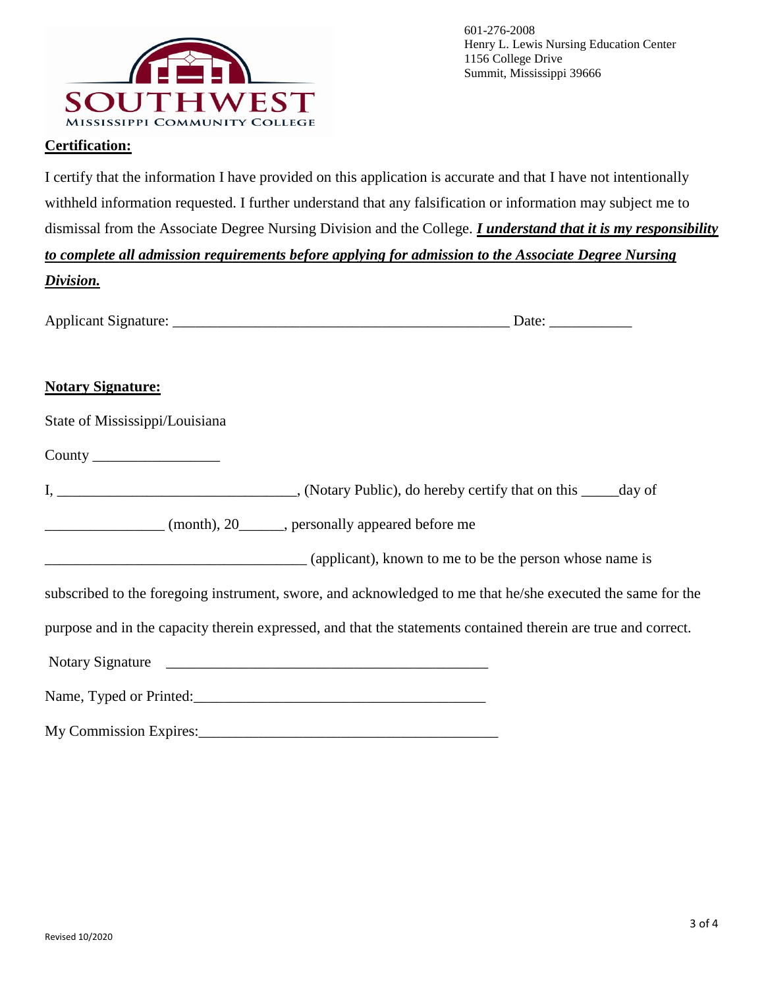

## **Certification:**

I certify that the information I have provided on this application is accurate and that I have not intentionally withheld information requested. I further understand that any falsification or information may subject me to dismissal from the Associate Degree Nursing Division and the College. *I understand that it is my responsibility to complete all admission requirements before applying for admission to the Associate Degree Nursing Division.*

| -<br>Applicant<br>. Signature: |  |
|--------------------------------|--|
|                                |  |

## **Notary Signature:**

County \_\_\_\_\_\_\_\_\_\_\_\_\_\_\_\_\_

| , (Notary Public), do hereby certify that on this | day of |
|---------------------------------------------------|--------|
|---------------------------------------------------|--------|

\_\_\_\_\_\_\_\_\_\_\_\_\_\_\_\_ (month), 20\_\_\_\_\_\_, personally appeared before me

\_\_\_\_\_\_\_\_\_\_\_\_\_\_\_\_\_\_\_\_\_\_\_\_\_\_\_\_\_\_\_\_\_\_\_ (applicant), known to me to be the person whose name is

subscribed to the foregoing instrument, swore, and acknowledged to me that he/she executed the same for the

purpose and in the capacity therein expressed, and that the statements contained therein are true and correct.

Notary Signature  $\blacksquare$ 

Name, Typed or Printed:\_\_\_\_\_\_\_\_\_\_\_\_\_\_\_\_\_\_\_\_\_\_\_\_\_\_\_\_\_\_\_\_\_\_\_\_\_\_\_

My Commission Expires:\_\_\_\_\_\_\_\_\_\_\_\_\_\_\_\_\_\_\_\_\_\_\_\_\_\_\_\_\_\_\_\_\_\_\_\_\_\_\_\_